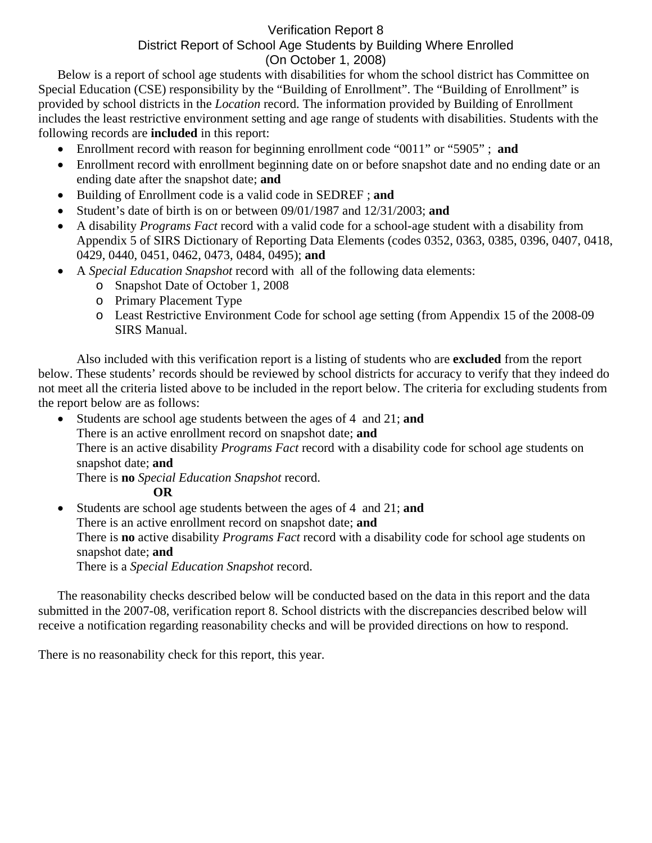# Verification Report 8

#### District Report of School Age Students by Building Where Enrolled (On October 1, 2008)

Below is a report of school age students with disabilities for whom the school district has Committee on Special Education (CSE) responsibility by the "Building of Enrollment". The "Building of Enrollment" is provided by school districts in the *Location* record. The information provided by Building of Enrollment includes the least restrictive environment setting and age range of students with disabilities. Students with the following records are **included** in this report:

- Enrollment record with reason for beginning enrollment code "0011" or "5905" ; **and**
- Enrollment record with enrollment beginning date on or before snapshot date and no ending date or an ending date after the snapshot date; **and**
- Building of Enrollment code is a valid code in SEDREF ; **and**
- Student's date of birth is on or between 09/01/1987 and 12/31/2003; **and**
- A disability *Programs Fact* record with a valid code for a school-age student with a disability from Appendix 5 of SIRS Dictionary of Reporting Data Elements (codes 0352, 0363, 0385, 0396, 0407, 0418, 0429, 0440, 0451, 0462, 0473, 0484, 0495); **and**
- A *Special Education Snapshot* record with all of the following data elements:
	- o Snapshot Date of October 1, 2008
	- o Primary Placement Type
	- o Least Restrictive Environment Code for school age setting (from Appendix 15 of the 2008-09 SIRS Manual.

Also included with this verification report is a listing of students who are **excluded** from the report below. These students' records should be reviewed by school districts for accuracy to verify that they indeed do not meet all the criteria listed above to be included in the report below. The criteria for excluding students from the report below are as follows:

• Students are school age students between the ages of 4 and 21; **and** There is an active enrollment record on snapshot date; **and** There is an active disability *Programs Fact* record with a disability code for school age students on snapshot date; **and**  There is **no** *Special Education Snapshot* record. **OR** 

• Students are school age students between the ages of 4 and 21; **and**  There is an active enrollment record on snapshot date; **and** There is **no** active disability *Programs Fact* record with a disability code for school age students on snapshot date; **and**  There is a *Special Education Snapshot* record.

The reasonability checks described below will be conducted based on the data in this report and the data submitted in the 2007-08, verification report 8. School districts with the discrepancies described below will receive a notification regarding reasonability checks and will be provided directions on how to respond.

There is no reasonability check for this report, this year.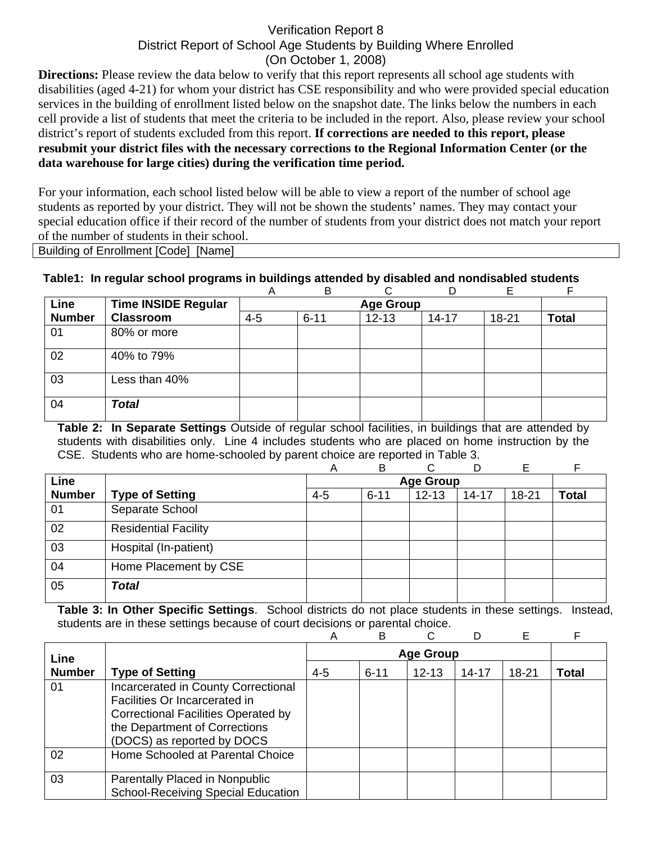## Verification Report 8 District Report of School Age Students by Building Where Enrolled (On October 1, 2008)

**Directions:** Please review the data below to verify that this report represents all school age students with disabilities (aged 4-21) for whom your district has CSE responsibility and who were provided special education services in the building of enrollment listed below on the snapshot date. The links below the numbers in each cell provide a list of students that meet the criteria to be included in the report. Also, please review your school district's report of students excluded from this report. **If corrections are needed to this report, please resubmit your district files with the necessary corrections to the Regional Information Center (or the data warehouse for large cities) during the verification time period.**

For your information, each school listed below will be able to view a report of the number of school age students as reported by your district. They will not be shown the students' names. They may contact your special education office if their record of the number of students from your district does not match your report of the number of students in their school.

Building of Enrollment [Code] [Name]

## **Table1: In regular school programs in buildings attended by disabled and nondisabled students**

|               |                            | Α       | B        | ⌒         |           | E     | Е            |
|---------------|----------------------------|---------|----------|-----------|-----------|-------|--------------|
| Line          | <b>Time INSIDE Regular</b> |         |          |           |           |       |              |
| <b>Number</b> | <b>Classroom</b>           | $4 - 5$ | $6 - 11$ | $12 - 13$ | $14 - 17$ | 18-21 | <b>Total</b> |
| 01            | 80% or more                |         |          |           |           |       |              |
| 02            | 40% to 79%                 |         |          |           |           |       |              |
| 03            | Less than 40%              |         |          |           |           |       |              |
| 04            | <b>Total</b>               |         |          |           |           |       |              |

**Table 2: In Separate Settings** Outside of regular school facilities, in buildings that are attended by students with disabilities only. Line 4 includes students who are placed on home instruction by the CSE. Students who are home-schooled by parent choice are reported in Table 3.

|               |                             | Α       | B                | C         | D     | Е         |              |  |
|---------------|-----------------------------|---------|------------------|-----------|-------|-----------|--------------|--|
| Line          |                             |         | <b>Age Group</b> |           |       |           |              |  |
| <b>Number</b> | <b>Type of Setting</b>      | $4 - 5$ | $6 - 11$         | $12 - 13$ | 14-17 | $18 - 21$ | <b>Total</b> |  |
| 01            | Separate School             |         |                  |           |       |           |              |  |
| 02            | <b>Residential Facility</b> |         |                  |           |       |           |              |  |
| 03            | Hospital (In-patient)       |         |                  |           |       |           |              |  |
| 04            | Home Placement by CSE       |         |                  |           |       |           |              |  |
| 05            | <b>Total</b>                |         |                  |           |       |           |              |  |

**Table 3: In Other Specific Settings**. School districts do not place students in these settings. Instead, students are in these settings because of court decisions or parental choice.

|               |                                                                                                                                                                                   | А       | В        |           |           |       |       |
|---------------|-----------------------------------------------------------------------------------------------------------------------------------------------------------------------------------|---------|----------|-----------|-----------|-------|-------|
| Line          |                                                                                                                                                                                   |         |          |           |           |       |       |
| <b>Number</b> | <b>Type of Setting</b>                                                                                                                                                            | $4 - 5$ | $6 - 11$ | $12 - 13$ | $14 - 17$ | 18-21 | Total |
| 01            | Incarcerated in County Correctional<br>Facilities Or Incarcerated in<br><b>Correctional Facilities Operated by</b><br>the Department of Corrections<br>(DOCS) as reported by DOCS |         |          |           |           |       |       |
| 02            | Home Schooled at Parental Choice                                                                                                                                                  |         |          |           |           |       |       |
| 03            | Parentally Placed in Nonpublic<br>School-Receiving Special Education                                                                                                              |         |          |           |           |       |       |